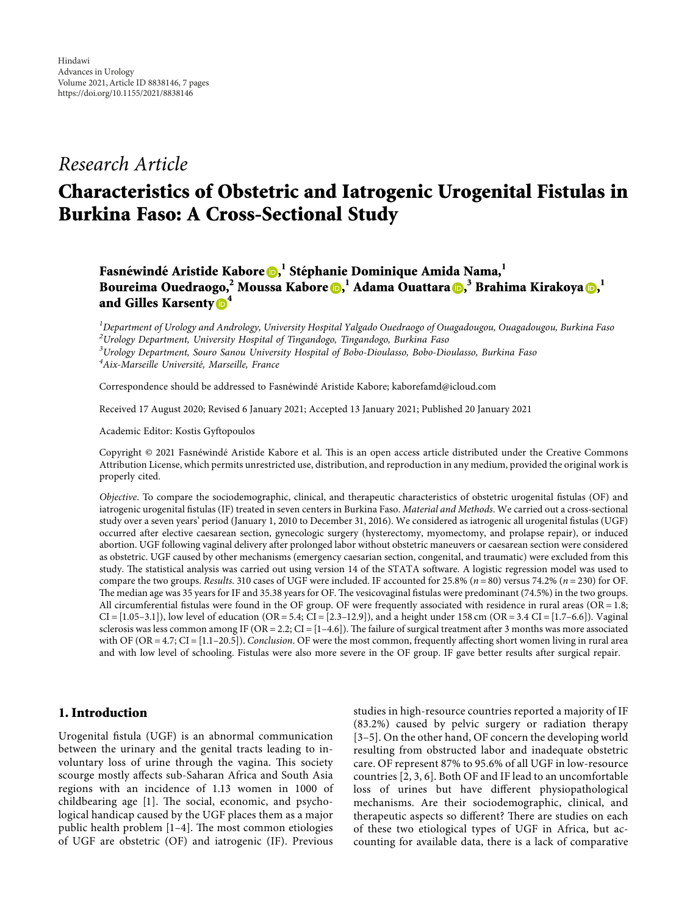## *Research Article*

# **Characteristics of Obstetric and Iatrogenic Urogenital Fistulas in Burkina Faso: A Cross-Sectional Study**

**Fasne´winde´ Aristide Kabore , <sup>1</sup> Ste´phanie Dominique Amida Nama,<sup>1</sup> Boureima Ouedraogo,2 Moussa Kabore [,](https://orcid.org/0000-0002-1187-3187) <sup>1</sup> Adama Ouattara , <sup>3</sup> Brahima Kirakoya [,](https://orcid.org/0000-0003-4942-7278) 1 and Gilles Karsenty [4](https://orcid.org/0000-0002-9047-3332)**

 *Department of Urology and Andrology, University Hospital Yalgado Ouedraogo of Ouagadougou, Ouagadougou, Burkina Faso Urology Department, University Hospital of Tingandogo, Tingandogo, Burkina Faso Urology Department, Souro Sanou University Hospital of Bobo-Dioulasso, Bobo-Dioulasso, Burkina Faso* <sup>4</sup> Aix-Marseille Université, Marseille, France

Correspondence should be addressed to Fasnéwindé Aristide Kabore; [kaborefamd@icloud.com](mailto:kaborefamd@icloud.com)

Received 17 August 2020; Revised 6 January 2021; Accepted 13 January 2021; Published 20 January 2021

Academic Editor: Kostis Gyftopoulos

Copyright © 2021 Fasnéwindé Aristide Kabore et al. This is an open access article distributed under the [Creative Commons](https://creativecommons.org/licenses/by/4.0/) [Attribution License](https://creativecommons.org/licenses/by/4.0/), which permits unrestricted use, distribution, and reproduction in any medium, provided the original work is properly cited.

*Objective*. To compare the sociodemographic, clinical, and therapeutic characteristics of obstetric urogenital fistulas (OF) and iatrogenic urogenital fistulas (IF) treated in seven centers in Burkina Faso. *Material and Methods*. We carried out a cross-sectional study over a seven years' period (January 1, 2010 to December 31, 2016). We considered as iatrogenic all urogenital fistulas (UGF) occurred after elective caesarean section, gynecologic surgery (hysterectomy, myomectomy, and prolapse repair), or induced abortion. UGF following vaginal delivery after prolonged labor without obstetric maneuvers or caesarean section were considered as obstetric. UGF caused by other mechanisms (emergency caesarian section, congenital, and traumatic) were excluded from this study. The statistical analysis was carried out using version 14 of the STATA software. A logistic regression model was used to compare the two groups. *Results*. 310 cases of UGF were included. IF accounted for 25.8% (*n* � 80) versus 74.2% (*n* � 230) for OF. The median age was 35 years for IF and 35.38 years for OF. The vesicovaginal fistulas were predominant (74.5%) in the two groups. All circumferential fistulas were found in the OF group. OF were frequently associated with residence in rural areas (OR =  $1.8$ ;  $CI = [1.05-3.1]$ , low level of education (OR = 5.4; CI = [2.3–12.9]), and a height under 158 cm (OR = 3.4 CI = [1.7–6.6]). Vaginal sclerosis was less common among IF (OR = 2.2; CI =  $[1-4.6]$ ). The failure of surgical treatment after 3 months was more associated with OF ( $OR = 4.7$ ;  $CI = [1.1–20.5]$ ). *Conclusion*. OF were the most common, frequently affecting short women living in rural area and with low level of schooling. Fistulas were also more severe in the OF group. IF gave better results after surgical repair.

### **1. Introduction**

Urogenital fistula (UGF) is an abnormal communication between the urinary and the genital tracts leading to involuntary loss of urine through the vagina. This society scourge mostly affects sub-Saharan Africa and South Asia regions with an incidence of 1.13 women in 1000 of childbearing age  $[1]$ . The social, economic, and psychological handicap caused by the UGF places them as a major public health problem  $[1-4]$ . The most common etiologies of UGF are obstetric (OF) and iatrogenic (IF). Previous

studies in high-resource countries reported a majority of IF (83.2%) caused by pelvic surgery or radiation therapy [[3](#page-6-0)–[5](#page-6-0)]. On the other hand, OF concern the developing world resulting from obstructed labor and inadequate obstetric care. OF represent 87% to 95.6% of all UGF in low-resource countries [[2, 3, 6\]](#page-6-0). Both OF and IF lead to an uncomfortable loss of urines but have different physiopathological mechanisms. Are their sociodemographic, clinical, and therapeutic aspects so different? There are studies on each of these two etiological types of UGF in Africa, but accounting for available data, there is a lack of comparative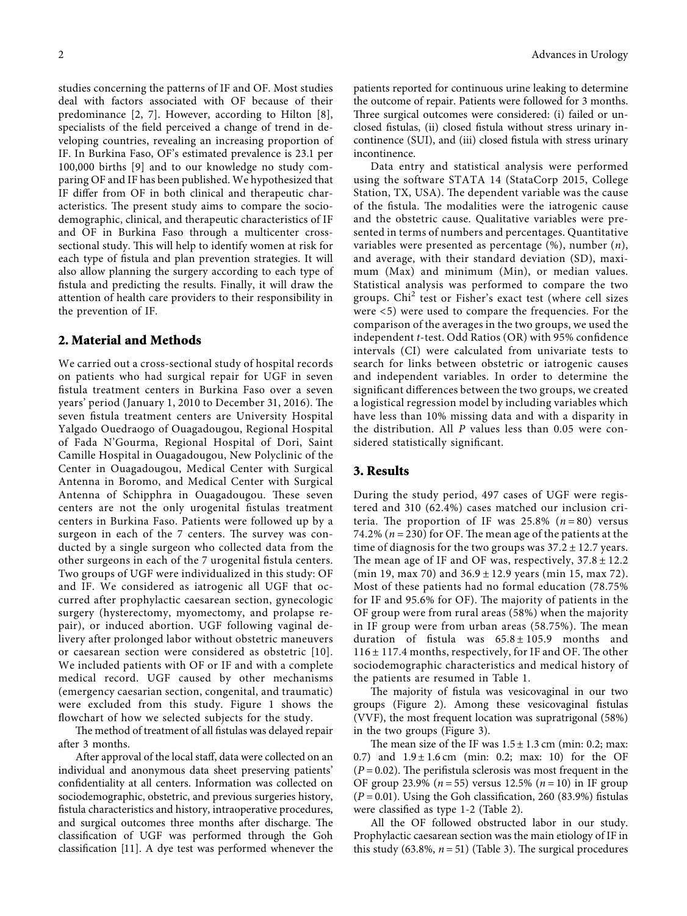studies concerning the patterns of IF and OF. Most studies deal with factors associated with OF because of their predominance [[2, 7](#page-6-0)]. However, according to Hilton [\[8](#page-6-0)], specialists of the field perceived a change of trend in developing countries, revealing an increasing proportion of IF. In Burkina Faso, OF's estimated prevalence is 23.1 per 100,000 births [\[9](#page-6-0)] and to our knowledge no study comparing OF and IF has been published. We hypothesized that IF differ from OF in both clinical and therapeutic characteristics. The present study aims to compare the sociodemographic, clinical, and therapeutic characteristics of IF and OF in Burkina Faso through a multicenter crosssectional study. This will help to identify women at risk for each type of fistula and plan prevention strategies. It will also allow planning the surgery according to each type of fistula and predicting the results. Finally, it will draw the attention of health care providers to their responsibility in the prevention of IF.

#### **2. Material and Methods**

We carried out a cross-sectional study of hospital records on patients who had surgical repair for UGF in seven fistula treatment centers in Burkina Faso over a seven years' period (January 1, 2010 to December 31, 2016). The seven fistula treatment centers are University Hospital Yalgado Ouedraogo of Ouagadougou, Regional Hospital of Fada N'Gourma, Regional Hospital of Dori, Saint Camille Hospital in Ouagadougou, New Polyclinic of the Center in Ouagadougou, Medical Center with Surgical Antenna in Boromo, and Medical Center with Surgical Antenna of Schipphra in Ouagadougou. These seven centers are not the only urogenital fistulas treatment centers in Burkina Faso. Patients were followed up by a surgeon in each of the 7 centers. The survey was conducted by a single surgeon who collected data from the other surgeons in each of the 7 urogenital fistula centers. Two groups of UGF were individualized in this study: OF and IF. We considered as iatrogenic all UGF that occurred after prophylactic caesarean section, gynecologic surgery (hysterectomy, myomectomy, and prolapse repair), or induced abortion. UGF following vaginal delivery after prolonged labor without obstetric maneuvers or caesarean section were considered as obstetric [[10](#page-6-0)]. We included patients with OF or IF and with a complete medical record. UGF caused by other mechanisms (emergency caesarian section, congenital, and traumatic) were excluded from this study. Figure [1](#page-2-0) shows the flowchart of how we selected subjects for the study.

The method of treatment of all fistulas was delayed repair after 3 months.

After approval of the local staff, data were collected on an individual and anonymous data sheet preserving patients' confidentiality at all centers. Information was collected on sociodemographic, obstetric, and previous surgeries history, fistula characteristics and history, intraoperative procedures, and surgical outcomes three months after discharge. The classification of UGF was performed through the Goh classification [\[11](#page-6-0)]. A dye test was performed whenever the

patients reported for continuous urine leaking to determine the outcome of repair. Patients were followed for 3 months. Three surgical outcomes were considered: (i) failed or unclosed fistulas, (ii) closed fistula without stress urinary incontinence (SUI), and (iii) closed fistula with stress urinary incontinence.

Data entry and statistical analysis were performed using the software STATA 14 (StataCorp 2015, College Station, TX, USA). The dependent variable was the cause of the fistula. The modalities were the iatrogenic cause and the obstetric cause. Qualitative variables were presented in terms of numbers and percentages. Quantitative variables were presented as percentage (%), number (*n*), and average, with their standard deviation (SD), maximum (Max) and minimum (Min), or median values. Statistical analysis was performed to compare the two groups. Chi<sup>2</sup> test or Fisher's exact test (where cell sizes were <5) were used to compare the frequencies. For the comparison of the averages in the two groups, we used the independent *t*-test. Odd Ratios (OR) with 95% confidence intervals (CI) were calculated from univariate tests to search for links between obstetric or iatrogenic causes and independent variables. In order to determine the significant differences between the two groups, we created a logistical regression model by including variables which have less than 10% missing data and with a disparity in the distribution. All *P* values less than 0.05 were considered statistically significant.

#### **3. Results**

During the study period, 497 cases of UGF were registered and 310 (62.4%) cases matched our inclusion criteria. The proportion of IF was  $25.8\%$  ( $n = 80$ ) versus 74.2% ( $n = 230$ ) for OF. The mean age of the patients at the time of diagnosis for the two groups was  $37.2 \pm 12.7$  years. The mean age of IF and OF was, respectively,  $37.8 \pm 12.2$ (min 19, max 70) and 36.9 ± 12.9 years (min 15, max 72). Most of these patients had no formal education (78.75% for IF and 95.6% for OF). The majority of patients in the OF group were from rural areas (58%) when the majority in IF group were from urban areas  $(58.75%)$ . The mean duration of fistula was  $65.8 \pm 105.9$  months and  $116 \pm 117.4$  months, respectively, for IF and OF. The other sociodemographic characteristics and medical history of the patients are resumed in Table [1.](#page-2-0)

The majority of fistula was vesicovaginal in our two groups (Figure [2](#page-3-0)). Among these vesicovaginal fistulas (VVF), the most frequent location was supratrigonal (58%) in the two groups (Figure [3\)](#page-4-0).

The mean size of the IF was  $1.5 \pm 1.3$  cm (min: 0.2; max: 0.7) and  $1.9 \pm 1.6$  cm (min: 0.2; max: 10) for the OF  $(P = 0.02)$ . The perifistula sclerosis was most frequent in the OF group 23.9% ( $n = 55$ ) versus 12.5% ( $n = 10$ ) in IF group  $(P = 0.01)$ . Using the Goh classification, 260 (83.9%) fistulas were classified as type 1-2 (Table [2\)](#page-4-0).

All the OF followed obstructed labor in our study. Prophylactic caesarean section was the main etiology of IF in this study  $(63.8\%, n=51)$  (Table [3\)](#page-4-0). The surgical procedures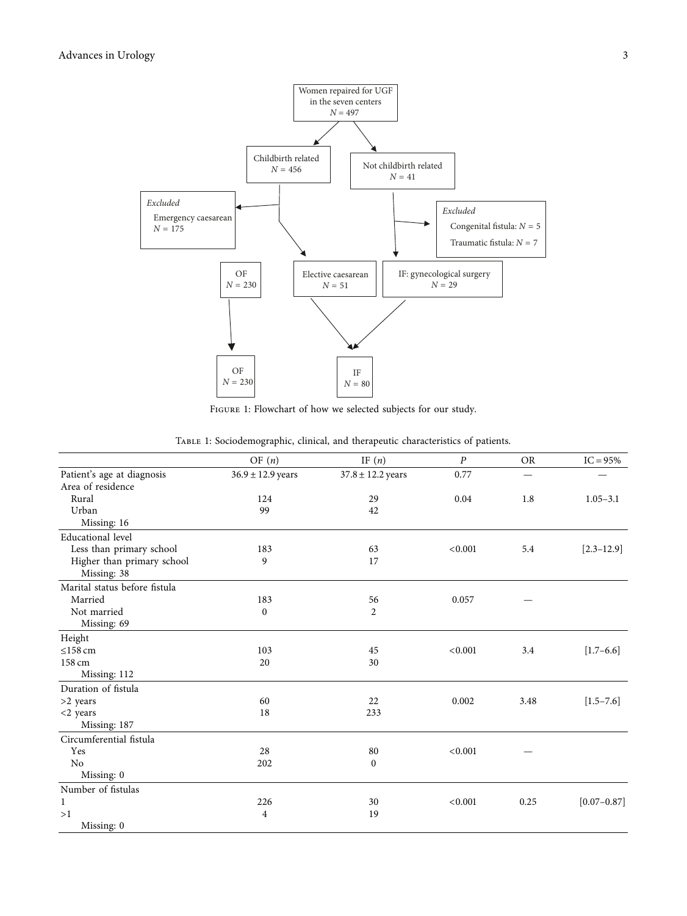<span id="page-2-0"></span>

FIGURE 1: Flowchart of how we selected subjects for our study.

|                               | OF $(n)$              | IF $(n)$              | $\boldsymbol{P}$ | <b>OR</b> | $IC = 95%$      |
|-------------------------------|-----------------------|-----------------------|------------------|-----------|-----------------|
| Patient's age at diagnosis    | $36.9 \pm 12.9$ years | $37.8 \pm 12.2$ years | 0.77             |           |                 |
| Area of residence             |                       |                       |                  |           |                 |
| Rural                         | 124                   | 29                    | 0.04             | 1.8       | $1.05 - 3.1$    |
| Urban                         | 99                    | 42                    |                  |           |                 |
| Missing: 16                   |                       |                       |                  |           |                 |
| Educational level             |                       |                       |                  |           |                 |
| Less than primary school      | 183                   | 63                    | < 0.001          | 5.4       | $[2.3 - 12.9]$  |
| Higher than primary school    | 9                     | 17                    |                  |           |                 |
| Missing: 38                   |                       |                       |                  |           |                 |
| Marital status before fistula |                       |                       |                  |           |                 |
| Married                       | 183                   | 56                    | 0.057            |           |                 |
| Not married                   | 0                     | 2                     |                  |           |                 |
| Missing: 69                   |                       |                       |                  |           |                 |
| Height                        |                       |                       |                  |           |                 |
| $\leq$ 158 cm                 | 103                   | 45                    | < 0.001          | 3.4       | $[1.7 - 6.6]$   |
| 158 cm                        | 20                    | 30                    |                  |           |                 |
| Missing: 112                  |                       |                       |                  |           |                 |
| Duration of fistula           |                       |                       |                  |           |                 |
| $>2$ years                    | 60                    | 22                    | 0.002            | 3.48      | $[1.5 - 7.6]$   |
| $<$ 2 years                   | 18                    | 233                   |                  |           |                 |
| Missing: 187                  |                       |                       |                  |           |                 |
| Circumferential fistula       |                       |                       |                  |           |                 |
| Yes                           | 28                    | 80                    | < 0.001          |           |                 |
| N <sub>o</sub>                | 202                   | $\bf{0}$              |                  |           |                 |
| Missing: 0                    |                       |                       |                  |           |                 |
| Number of fistulas            |                       |                       |                  |           |                 |
| 1                             | 226                   | 30                    | < 0.001          | 0.25      | $[0.07 - 0.87]$ |
| >1                            | 4                     | 19                    |                  |           |                 |
| Missing: 0                    |                       |                       |                  |           |                 |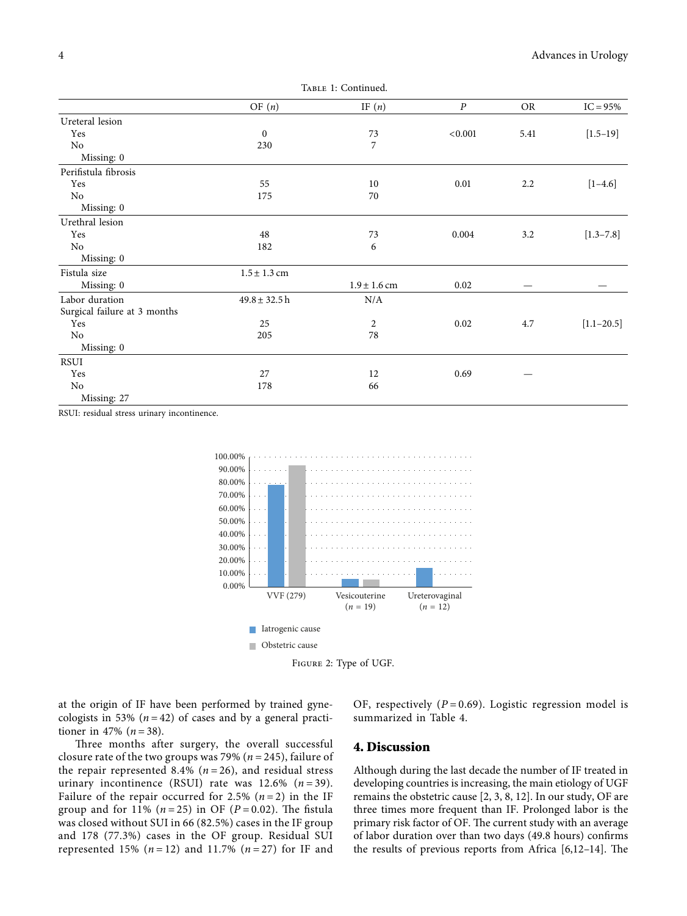<span id="page-3-0"></span>

|                              | OF $(n)$          | IF $(n)$         | $\boldsymbol{P}$ | <b>OR</b> | $IC = 95%$     |
|------------------------------|-------------------|------------------|------------------|-----------|----------------|
| Ureteral lesion              |                   |                  |                  |           |                |
| Yes                          | $\boldsymbol{0}$  | 73               | < 0.001          | 5.41      | $[1.5 - 19]$   |
| No                           | 230               | 7                |                  |           |                |
| Missing: 0                   |                   |                  |                  |           |                |
| Perifistula fibrosis         |                   |                  |                  |           |                |
| Yes                          | 55                | 10               | 0.01             | 2.2       | $[1-4.6]$      |
| No                           | 175               | 70               |                  |           |                |
| Missing: 0                   |                   |                  |                  |           |                |
| Urethral lesion              |                   |                  |                  |           |                |
| Yes                          | 48                | 73               | 0.004            | 3.2       | $[1.3 - 7.8]$  |
| No                           | 182               | 6                |                  |           |                |
| Missing: 0                   |                   |                  |                  |           |                |
| Fistula size                 | $1.5 \pm 1.3$ cm  |                  |                  |           |                |
| Missing: 0                   |                   | $1.9 \pm 1.6$ cm | 0.02             |           |                |
| Labor duration               | $49.8 \pm 32.5$ h | N/A              |                  |           |                |
| Surgical failure at 3 months |                   |                  |                  |           |                |
| Yes                          | 25                | 2                | 0.02             | 4.7       | $[1.1 - 20.5]$ |
| No                           | 205               | 78               |                  |           |                |
| Missing: 0                   |                   |                  |                  |           |                |
| RSUI                         |                   |                  |                  |           |                |
| Yes                          | 27                | 12               | 0.69             |           |                |
| No                           | 178               | 66               |                  |           |                |
| Missing: 27                  |                   |                  |                  |           |                |

RSUI: residual stress urinary incontinence.





at the origin of IF have been performed by trained gynecologists in 53%  $(n=42)$  of cases and by a general practitioner in 47% ( $n = 38$ ).

Three months after surgery, the overall successful closure rate of the two groups was 79% ( $n = 245$ ), failure of the repair represented 8.4% ( $n = 26$ ), and residual stress urinary incontinence (RSUI) rate was  $12.6\%$  ( $n = 39$ ). Failure of the repair occurred for 2.5%  $(n=2)$  in the IF group and for 11%  $(n = 25)$  in OF  $(P = 0.02)$ . The fistula was closed without SUI in 66 (82.5%) cases in the IF group and 178 (77.3%) cases in the OF group. Residual SUI represented 15%  $(n = 12)$  and 11.7%  $(n = 27)$  for IF and

OF, respectively  $(P = 0.69)$ . Logistic regression model is summarized in Table [4.](#page-4-0)

#### **4. Discussion**

Although during the last decade the number of IF treated in developing countries is increasing, the main etiology of UGF remains the obstetric cause [[2](#page-6-0), [3, 8](#page-6-0), [12](#page-6-0)]. In our study, OF are three times more frequent than IF. Prolonged labor is the primary risk factor of OF. The current study with an average of labor duration over than two days (49.8 hours) confirms the results of previous reports from Africa  $[6,12-14]$  $[6,12-14]$  $[6,12-14]$  $[6,12-14]$ . The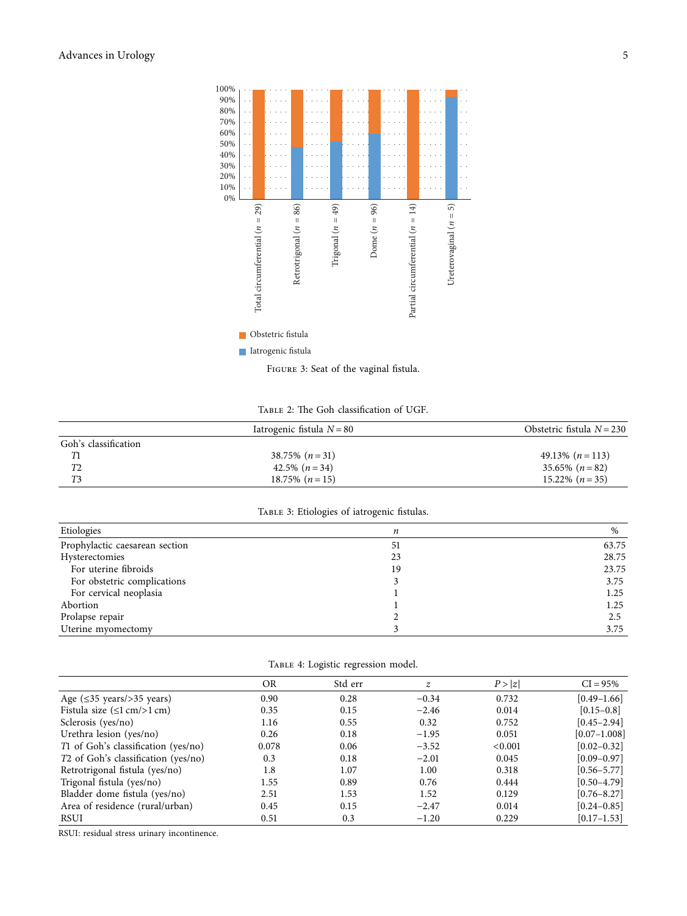<span id="page-4-0"></span>

TABLE 2: The Goh classification of UGF.

| Iatrogenic fistula $N = 80$ | Obstetric fistula $N = 230$ |
|-----------------------------|-----------------------------|
|                             |                             |
| 38.75% $(n=31)$             | 49.13% $(n=113)$            |
| 42.5% $(n=34)$              | $35.65\%$ $(n=82)$          |
| 18.75% $(n=15)$             | $15.22\%$ $(n=35)$          |
|                             |                             |

#### TABLE 3: Etiologies of iatrogenic fistulas.

| Etiologies                     | n  | %     |
|--------------------------------|----|-------|
| Prophylactic caesarean section | 51 | 63.75 |
| Hysterectomies                 | 23 | 28.75 |
| For uterine fibroids           | 19 | 23.75 |
| For obstetric complications    |    | 3.75  |
| For cervical neoplasia         |    | 1.25  |
| Abortion                       |    | 1.25  |
| Prolapse repair                |    | 2.5   |
| Uterine myomectomy             |    | 3.75  |

|  |  |  |  | TABLE 4: Logistic regression model. |  |
|--|--|--|--|-------------------------------------|--|
|--|--|--|--|-------------------------------------|--|

|                                                   | <b>OR</b> | Std err | $\boldsymbol{z}$ | P >  z  | $CI = 95%$       |
|---------------------------------------------------|-----------|---------|------------------|---------|------------------|
| Age $(\leq 35$ years/>35 years)                   | 0.90      | 0.28    | $-0.34$          | 0.732   | $[0.49 - 1.66]$  |
| Fistula size $(\leq 1 \text{ cm}) > 1 \text{ cm}$ | 0.35      | 0.15    | $-2.46$          | 0.014   | $[0.15 - 0.8]$   |
| Sclerosis (yes/no)                                | 1.16      | 0.55    | 0.32             | 0.752   | $[0.45 - 2.94]$  |
| Urethra lesion (yes/no)                           | 0.26      | 0.18    | $-1.95$          | 0.051   | $[0.07 - 1.008]$ |
| T1 of Goh's classification (yes/no)               | 0.078     | 0.06    | $-3.52$          | < 0.001 | $[0.02 - 0.32]$  |
| T <sub>2</sub> of Goh's classification (yes/no)   | 0.3       | 0.18    | $-2.01$          | 0.045   | $[0.09 - 0.97]$  |
| Retrotrigonal fistula (yes/no)                    | 1.8       | 1.07    | 1.00             | 0.318   | $[0.56 - 5.77]$  |
| Trigonal fistula (yes/no)                         | 1.55      | 0.89    | 0.76             | 0.444   | $[0.50 - 4.79]$  |
| Bladder dome fistula (yes/no)                     | 2.51      | 1.53    | 1.52             | 0.129   | $[0.76 - 8.27]$  |
| Area of residence (rural/urban)                   | 0.45      | 0.15    | $-2.47$          | 0.014   | $[0.24 - 0.85]$  |
| <b>RSUI</b>                                       | 0.51      | 0.3     | $-1.20$          | 0.229   | $[0.17 - 1.53]$  |

RSUI: residual stress urinary incontinence.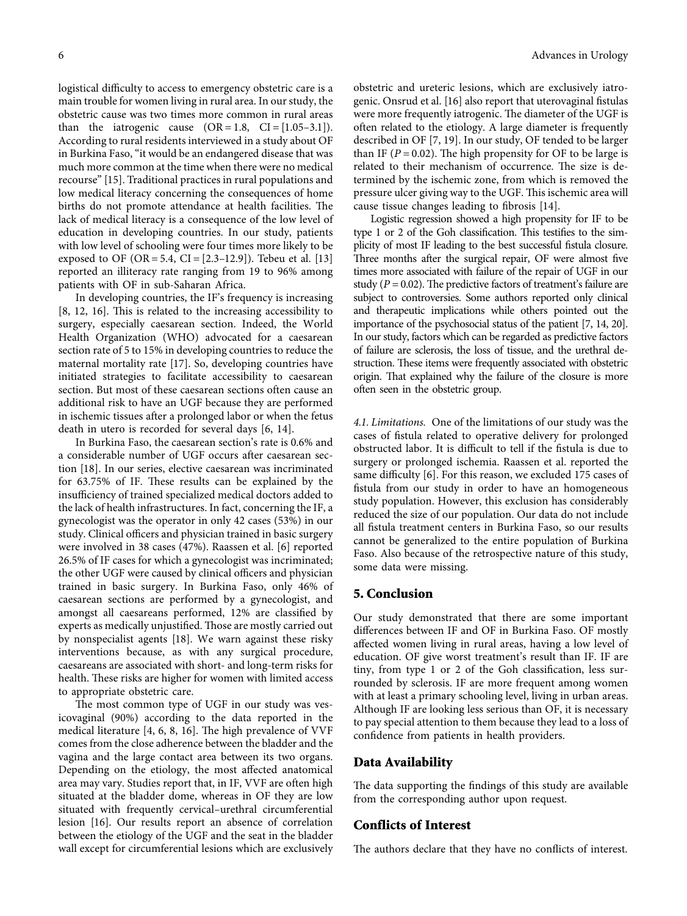logistical difficulty to access to emergency obstetric care is a main trouble for women living in rural area. In our study, the obstetric cause was two times more common in rural areas than the iatrogenic cause  $(OR = 1.8, CI = [1.05-3.1]).$ According to rural residents interviewed in a study about OF in Burkina Faso, "it would be an endangered disease that was much more common at the time when there were no medical recourse" [\[15\]](#page-6-0). Traditional practices in rural populations and low medical literacy concerning the consequences of home births do not promote attendance at health facilities. The lack of medical literacy is a consequence of the low level of education in developing countries. In our study, patients with low level of schooling were four times more likely to be exposed to OF (OR = 5.4, CI =  $[2.3-12.9]$ ). Tebeu et al.  $[13]$  $[13]$ reported an illiteracy rate ranging from 19 to 96% among patients with OF in sub-Saharan Africa.

In developing countries, the IF's frequency is increasing  $[8, 12, 16]$  $[8, 12, 16]$  $[8, 12, 16]$  $[8, 12, 16]$  $[8, 12, 16]$ . This is related to the increasing accessibility to surgery, especially caesarean section. Indeed, the World Health Organization (WHO) advocated for a caesarean section rate of 5 to 15% in developing countries to reduce the maternal mortality rate [\[17](#page-6-0)]. So, developing countries have initiated strategies to facilitate accessibility to caesarean section. But most of these caesarean sections often cause an additional risk to have an UGF because they are performed in ischemic tissues after a prolonged labor or when the fetus death in utero is recorded for several days [[6](#page-6-0), [14](#page-6-0)].

In Burkina Faso, the caesarean section's rate is 0.6% and a considerable number of UGF occurs after caesarean section [[18\]](#page-6-0). In our series, elective caesarean was incriminated for 63.75% of IF. These results can be explained by the insufficiency of trained specialized medical doctors added to the lack of health infrastructures. In fact, concerning the IF, a gynecologist was the operator in only 42 cases (53%) in our study. Clinical officers and physician trained in basic surgery were involved in 38 cases (47%). Raassen et al. [[6](#page-6-0)] reported 26.5% of IF cases for which a gynecologist was incriminated; the other UGF were caused by clinical officers and physician trained in basic surgery. In Burkina Faso, only 46% of caesarean sections are performed by a gynecologist, and amongst all caesareans performed, 12% are classified by experts as medically unjustified. Those are mostly carried out by nonspecialist agents [[18\]](#page-6-0). We warn against these risky interventions because, as with any surgical procedure, caesareans are associated with short- and long-term risks for health. These risks are higher for women with limited access to appropriate obstetric care.

The most common type of UGF in our study was vesicovaginal (90%) according to the data reported in the medical literature [\[4](#page-6-0), [6](#page-6-0), [8](#page-6-0), [16\]](#page-6-0). The high prevalence of VVF comes from the close adherence between the bladder and the vagina and the large contact area between its two organs. Depending on the etiology, the most affected anatomical area may vary. Studies report that, in IF, VVF are often high situated at the bladder dome, whereas in OF they are low situated with frequently cervical–urethral circumferential lesion [[16\]](#page-6-0). Our results report an absence of correlation between the etiology of the UGF and the seat in the bladder wall except for circumferential lesions which are exclusively

obstetric and ureteric lesions, which are exclusively iatrogenic. Onsrud et al. [[16\]](#page-6-0) also report that uterovaginal fistulas were more frequently iatrogenic. The diameter of the UGF is often related to the etiology. A large diameter is frequently described in OF [\[7](#page-6-0), [19](#page-6-0)]. In our study, OF tended to be larger than IF ( $P = 0.02$ ). The high propensity for OF to be large is related to their mechanism of occurrence. The size is determined by the ischemic zone, from which is removed the pressure ulcer giving way to the UGF. This ischemic area will cause tissue changes leading to fibrosis [\[14](#page-6-0)].

Logistic regression showed a high propensity for IF to be type 1 or 2 of the Goh classification. This testifies to the simplicity of most IF leading to the best successful fistula closure. Three months after the surgical repair, OF were almost five times more associated with failure of the repair of UGF in our study ( $P = 0.02$ ). The predictive factors of treatment's failure are subject to controversies. Some authors reported only clinical and therapeutic implications while others pointed out the importance of the psychosocial status of the patient [[7](#page-6-0), [14, 20\]](#page-6-0). In our study, factors which can be regarded as predictive factors of failure are sclerosis, the loss of tissue, and the urethral destruction. These items were frequently associated with obstetric origin. That explained why the failure of the closure is more often seen in the obstetric group.

*4.1. Limitations.* One of the limitations of our study was the cases of fistula related to operative delivery for prolonged obstructed labor. It is difficult to tell if the fistula is due to surgery or prolonged ischemia. Raassen et al. reported the same difficulty [\[6\]](#page-6-0). For this reason, we excluded 175 cases of fistula from our study in order to have an homogeneous study population. However, this exclusion has considerably reduced the size of our population. Our data do not include all fistula treatment centers in Burkina Faso, so our results cannot be generalized to the entire population of Burkina Faso. Also because of the retrospective nature of this study, some data were missing.

#### **5. Conclusion**

Our study demonstrated that there are some important differences between IF and OF in Burkina Faso. OF mostly affected women living in rural areas, having a low level of education. OF give worst treatment's result than IF. IF are tiny, from type 1 or 2 of the Goh classification, less surrounded by sclerosis. IF are more frequent among women with at least a primary schooling level, living in urban areas. Although IF are looking less serious than OF, it is necessary to pay special attention to them because they lead to a loss of confidence from patients in health providers.

#### **Data Availability**

The data supporting the findings of this study are available from the corresponding author upon request.

#### **Conflicts of Interest**

The authors declare that they have no conflicts of interest.